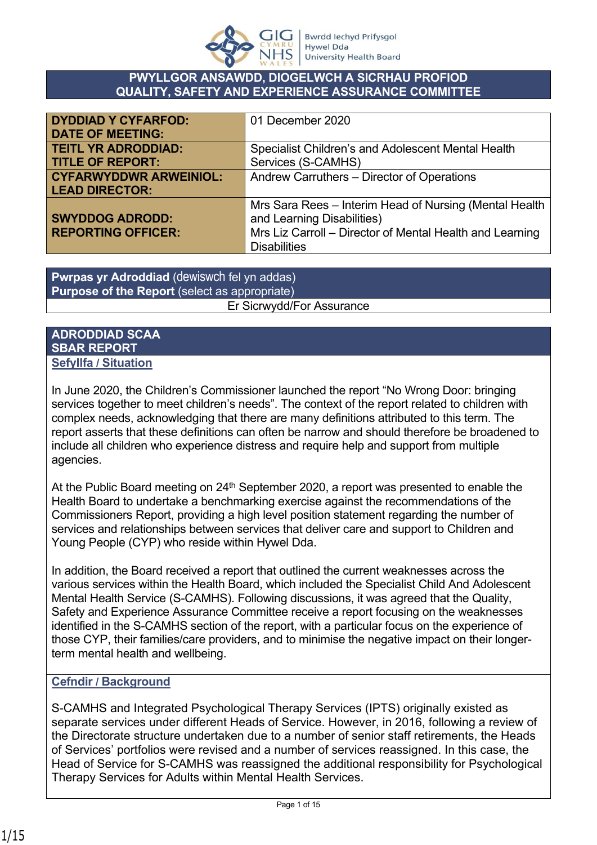

#### **PWYLLGOR ANSAWDD, DIOGELWCH A SICRHAU PROFIOD QUALITY, SAFETY AND EXPERIENCE ASSURANCE COMMITTEE**

| <b>DYDDIAD Y CYFARFOD:</b>    | 01 December 2020                                         |
|-------------------------------|----------------------------------------------------------|
| <b>DATE OF MEETING:</b>       |                                                          |
| <b>TEITL YR ADRODDIAD:</b>    | Specialist Children's and Adolescent Mental Health       |
| <b>TITLE OF REPORT:</b>       | Services (S-CAMHS)                                       |
| <b>CYFARWYDDWR ARWEINIOL:</b> | Andrew Carruthers - Director of Operations               |
| <b>LEAD DIRECTOR:</b>         |                                                          |
|                               | Mrs Sara Rees – Interim Head of Nursing (Mental Health   |
| <b>SWYDDOG ADRODD:</b>        | and Learning Disabilities)                               |
| <b>REPORTING OFFICER:</b>     | Mrs Liz Carroll - Director of Mental Health and Learning |
|                               | <b>Disabilities</b>                                      |

#### **Pwrpas yr Adroddiad** (dewiswch fel yn addas) **Purpose of the Report** (select as appropriate) Er Sicrwydd/For Assurance

#### **ADRODDIAD SCAA SBAR REPORT Sefyllfa / Situation**

In June 2020, the Children's Commissioner launched the report "No Wrong Door: bringing services together to meet children's needs". The context of the report related to children with complex needs, acknowledging that there are many definitions attributed to this term. The report asserts that these definitions can often be narrow and should therefore be broadened to include all children who experience distress and require help and support from multiple agencies.

At the Public Board meeting on  $24<sup>th</sup>$  September 2020, a report was presented to enable the Health Board to undertake a benchmarking exercise against the recommendations of the Commissioners Report, providing a high level position statement regarding the number of services and relationships between services that deliver care and support to Children and Young People (CYP) who reside within Hywel Dda.

In addition, the Board received a report that outlined the current weaknesses across the various services within the Health Board, which included the Specialist Child And Adolescent Mental Health Service (S-CAMHS). Following discussions, it was agreed that the Quality, Safety and Experience Assurance Committee receive a report focusing on the weaknesses identified in the S-CAMHS section of the report, with a particular focus on the experience of those CYP, their families/care providers, and to minimise the negative impact on their longerterm mental health and wellbeing.

#### **Cefndir / Background**

S-CAMHS and Integrated Psychological Therapy Services (IPTS) originally existed as separate services under different Heads of Service. However, in 2016, following a review of the Directorate structure undertaken due to a number of senior staff retirements, the Heads of Services' portfolios were revised and a number of services reassigned. In this case, the Head of Service for S-CAMHS was reassigned the additional responsibility for Psychological Therapy Services for Adults within Mental Health Services.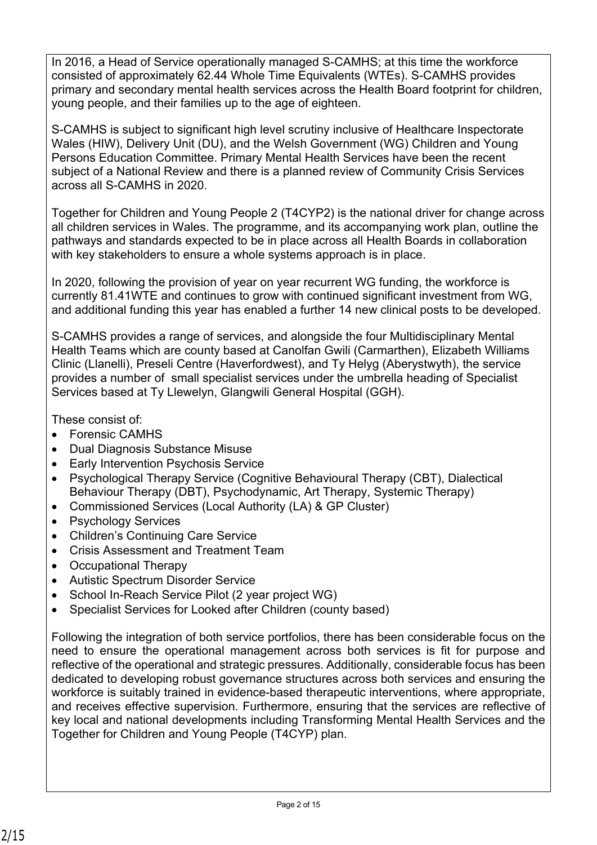In 2016, a Head of Service operationally managed S-CAMHS; at this time the workforce consisted of approximately 62.44 Whole Time Equivalents (WTEs). S-CAMHS provides primary and secondary mental health services across the Health Board footprint for children, young people, and their families up to the age of eighteen.

S-CAMHS is subject to significant high level scrutiny inclusive of Healthcare Inspectorate Wales (HIW), Delivery Unit (DU), and the Welsh Government (WG) Children and Young Persons Education Committee. Primary Mental Health Services have been the recent subject of a National Review and there is a planned review of Community Crisis Services across all S-CAMHS in 2020.

Together for Children and Young People 2 (T4CYP2) is the national driver for change across all children services in Wales. The programme, and its accompanying work plan, outline the pathways and standards expected to be in place across all Health Boards in collaboration with key stakeholders to ensure a whole systems approach is in place.

In 2020, following the provision of year on year recurrent WG funding, the workforce is currently 81.41WTE and continues to grow with continued significant investment from WG, and additional funding this year has enabled a further 14 new clinical posts to be developed.

S-CAMHS provides a range of services, and alongside the four Multidisciplinary Mental Health Teams which are county based at Canolfan Gwili (Carmarthen), Elizabeth Williams Clinic (Llanelli), Preseli Centre (Haverfordwest), and Ty Helyg (Aberystwyth), the service provides a number of small specialist services under the umbrella heading of Specialist Services based at Ty Llewelyn, Glangwili General Hospital (GGH).

These consist of:

- Forensic CAMHS
- Dual Diagnosis Substance Misuse
- Early Intervention Psychosis Service
- Psychological Therapy Service (Cognitive Behavioural Therapy (CBT), Dialectical Behaviour Therapy (DBT), Psychodynamic, Art Therapy, Systemic Therapy)
- Commissioned Services (Local Authority (LA) & GP Cluster)
- Psychology Services
- Children's Continuing Care Service
- Crisis Assessment and Treatment Team
- Occupational Therapy
- Autistic Spectrum Disorder Service
- School In-Reach Service Pilot (2 year project WG)
- Specialist Services for Looked after Children (county based)

Following the integration of both service portfolios, there has been considerable focus on the need to ensure the operational management across both services is fit for purpose and reflective of the operational and strategic pressures. Additionally, considerable focus has been dedicated to developing robust governance structures across both services and ensuring the workforce is suitably trained in evidence-based therapeutic interventions, where appropriate, and receives effective supervision. Furthermore, ensuring that the services are reflective of key local and national developments including Transforming Mental Health Services and the Together for Children and Young People (T4CYP) plan.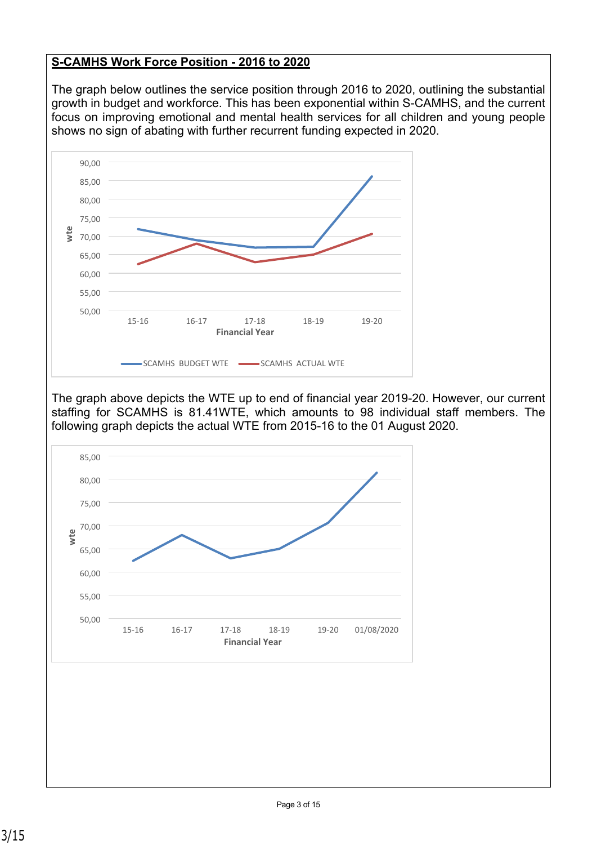### **S-CAMHS Work Force Position - 2016 to 2020**

The graph below outlines the service position through 2016 to 2020, outlining the substantial growth in budget and workforce. This has been exponential within S-CAMHS, and the current focus on improving emotional and mental health services for all children and young people shows no sign of abating with further recurrent funding expected in 2020.



The graph above depicts the WTE up to end of financial year 2019-20. However, our current staffing for SCAMHS is 81.41WTE, which amounts to 98 individual staff members. The following graph depicts the actual WTE from 2015-16 to the 01 August 2020.

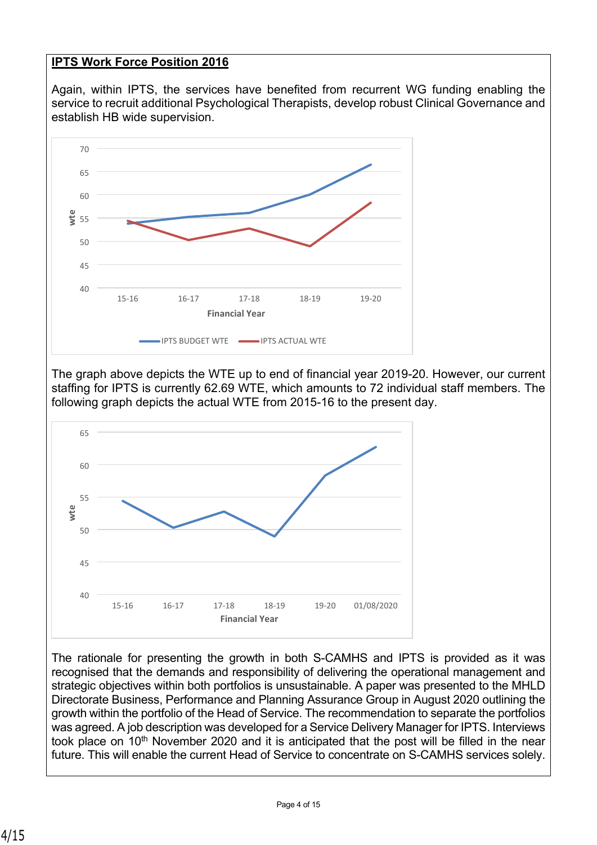### **IPTS Work Force Position 2016**

Again, within IPTS, the services have benefited from recurrent WG funding enabling the service to recruit additional Psychological Therapists, develop robust Clinical Governance and establish HB wide supervision.



The graph above depicts the WTE up to end of financial year 2019-20. However, our current staffing for IPTS is currently 62.69 WTE, which amounts to 72 individual staff members. The following graph depicts the actual WTE from 2015-16 to the present day.



The rationale for presenting the growth in both S-CAMHS and IPTS is provided as it was recognised that the demands and responsibility of delivering the operational management and strategic objectives within both portfolios is unsustainable. A paper was presented to the MHLD Directorate Business, Performance and Planning Assurance Group in August 2020 outlining the growth within the portfolio of the Head of Service. The recommendation to separate the portfolios was agreed. A job description was developed for a Service Delivery Manager for IPTS. Interviews took place on 10<sup>th</sup> November 2020 and it is anticipated that the post will be filled in the near future. This will enable the current Head of Service to concentrate on S-CAMHS services solely.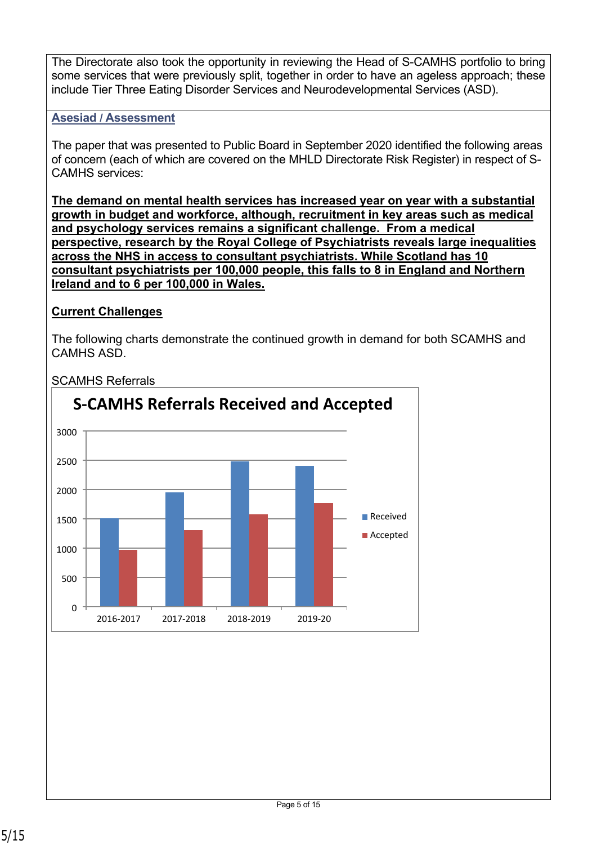The Directorate also took the opportunity in reviewing the Head of S-CAMHS portfolio to bring some services that were previously split, together in order to have an ageless approach; these include Tier Three Eating Disorder Services and Neurodevelopmental Services (ASD).

### **Asesiad / Assessment**

The paper that was presented to Public Board in September 2020 identified the following areas of concern (each of which are covered on the MHLD Directorate Risk Register) in respect of S-CAMHS services:

**The demand on mental health services has increased year on year with a substantial growth in budget and workforce, although, recruitment in key areas such as medical and psychology services remains a significant challenge. From a medical perspective, research by the Royal College of Psychiatrists reveals large inequalities across the NHS in access to consultant psychiatrists. While Scotland has 10 consultant psychiatrists per 100,000 people, this falls to 8 in England and Northern Ireland and to 6 per 100,000 in Wales.**

#### **Current Challenges**

The following charts demonstrate the continued growth in demand for both SCAMHS and CAMHS ASD.



SCAMHS Referrals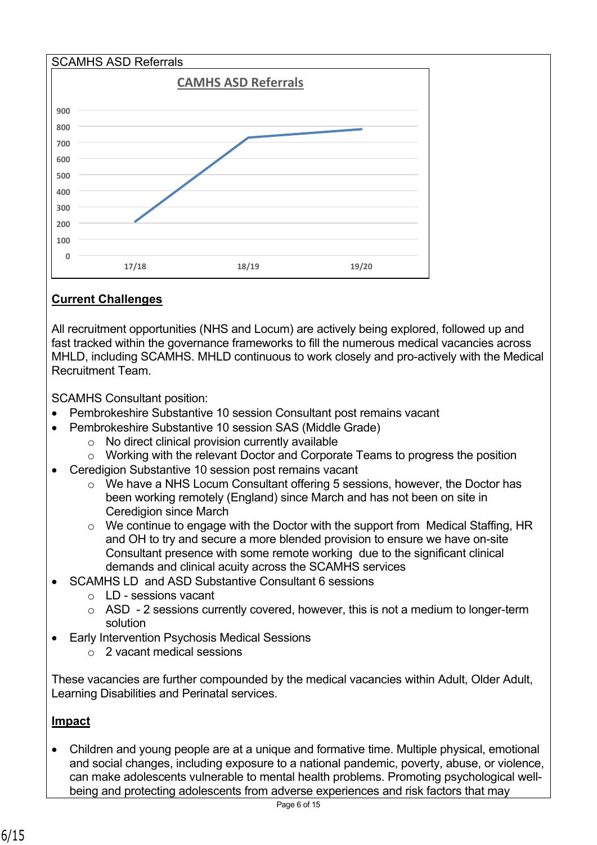

### **Current Challenges**

All recruitment opportunities (NHS and Locum) are actively being explored, followed up and fast tracked within the governance frameworks to fill the numerous medical vacancies across MHLD, including SCAMHS. MHLD continuous to work closely and pro-actively with the Medical Recruitment Team.

SCAMHS Consultant position:

- Pembrokeshire Substantive 10 session Consultant post remains vacant
- Pembrokeshire Substantive 10 session SAS (Middle Grade)
	- o No direct clinical provision currently available
	- o Working with the relevant Doctor and Corporate Teams to progress the position
- Ceredigion Substantive 10 session post remains vacant
	- o We have a NHS Locum Consultant offering 5 sessions, however, the Doctor has been working remotely (England) since March and has not been on site in Ceredigion since March
	- o We continue to engage with the Doctor with the support from Medical Staffing, HR and OH to try and secure a more blended provision to ensure we have on-site Consultant presence with some remote working due to the significant clinical demands and clinical acuity across the SCAMHS services
- SCAMHS LD and ASD Substantive Consultant 6 sessions
	- o LD sessions vacant
	- $\circ$  ASD 2 sessions currently covered, however, this is not a medium to longer-term solution
- Early Intervention Psychosis Medical Sessions
	- o 2 vacant medical sessions

These vacancies are further compounded by the medical vacancies within Adult, Older Adult, Learning Disabilities and Perinatal services.

#### **Impact**

 Children and young people are at a unique and formative time. Multiple physical, emotional and social changes, including exposure to a national pandemic, poverty, abuse, or violence, can make adolescents vulnerable to mental health problems. Promoting psychological wellbeing and protecting adolescents from adverse experiences and risk factors that may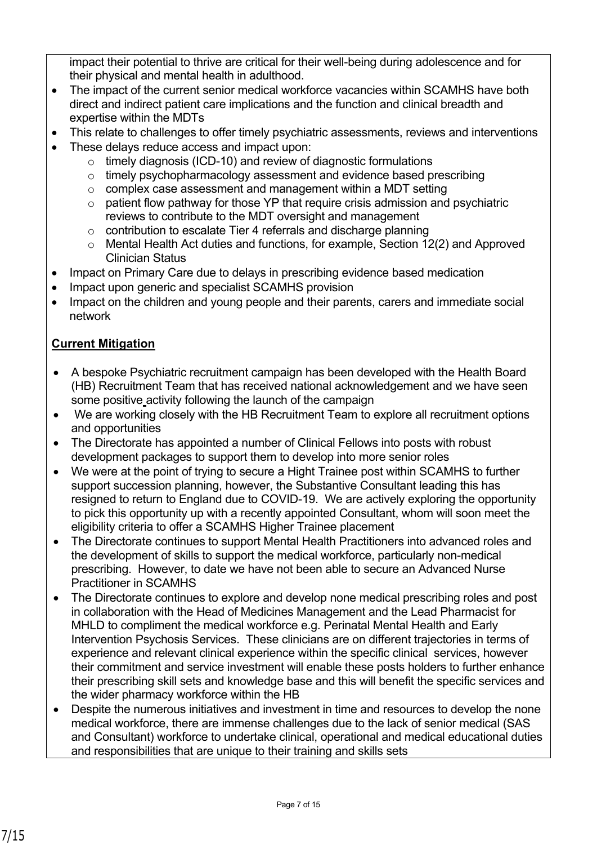impact their potential to thrive are critical for their well-being during adolescence and for their physical and mental health in adulthood.

- The impact of the current senior medical workforce vacancies within SCAMHS have both direct and indirect patient care implications and the function and clinical breadth and expertise within the MDTs
- This relate to challenges to offer timely psychiatric assessments, reviews and interventions
- These delays reduce access and impact upon:
	- o timely diagnosis (ICD-10) and review of diagnostic formulations
	- o timely psychopharmacology assessment and evidence based prescribing
	- $\circ$  complex case assessment and management within a MDT setting
	- o patient flow pathway for those YP that require crisis admission and psychiatric reviews to contribute to the MDT oversight and management
	- o contribution to escalate Tier 4 referrals and discharge planning
	- o Mental Health Act duties and functions, for example, Section 12(2) and Approved Clinician Status
- Impact on Primary Care due to delays in prescribing evidence based medication
- Impact upon generic and specialist SCAMHS provision
- Impact on the children and young people and their parents, carers and immediate social network

### **Current Mitigation**

- A bespoke Psychiatric recruitment campaign has been developed with the Health Board (HB) Recruitment Team that has received national acknowledgement and we have seen some positive activity following the launch of the campaign
- We are working closely with the HB Recruitment Team to explore all recruitment options and opportunities
- The Directorate has appointed a number of Clinical Fellows into posts with robust development packages to support them to develop into more senior roles
- We were at the point of trying to secure a Hight Trainee post within SCAMHS to further support succession planning, however, the Substantive Consultant leading this has resigned to return to England due to COVID-19. We are actively exploring the opportunity to pick this opportunity up with a recently appointed Consultant, whom will soon meet the eligibility criteria to offer a SCAMHS Higher Trainee placement
- The Directorate continues to support Mental Health Practitioners into advanced roles and the development of skills to support the medical workforce, particularly non-medical prescribing. However, to date we have not been able to secure an Advanced Nurse Practitioner in SCAMHS
- The Directorate continues to explore and develop none medical prescribing roles and post in collaboration with the Head of Medicines Management and the Lead Pharmacist for MHLD to compliment the medical workforce e.g. Perinatal Mental Health and Early Intervention Psychosis Services. These clinicians are on different trajectories in terms of experience and relevant clinical experience within the specific clinical services, however their commitment and service investment will enable these posts holders to further enhance their prescribing skill sets and knowledge base and this will benefit the specific services and the wider pharmacy workforce within the HB
- Despite the numerous initiatives and investment in time and resources to develop the none medical workforce, there are immense challenges due to the lack of senior medical (SAS and Consultant) workforce to undertake clinical, operational and medical educational duties and responsibilities that are unique to their training and skills sets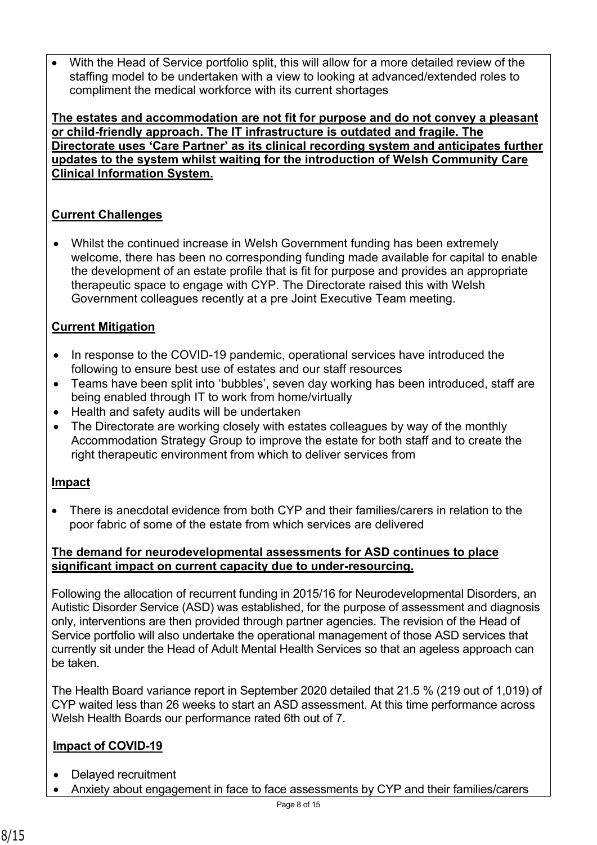With the Head of Service portfolio split, this will allow for a more detailed review of the staffing model to be undertaken with a view to looking at advanced/extended roles to compliment the medical workforce with its current shortages

**The estates and accommodation are not fit for purpose and do not convey a pleasant or child-friendly approach. The IT infrastructure is outdated and fragile. The Directorate uses 'Care Partner' as its clinical recording system and anticipates further updates to the system whilst waiting for the introduction of Welsh Community Care Clinical Information System.**

### **Current Challenges**

 Whilst the continued increase in Welsh Government funding has been extremely welcome, there has been no corresponding funding made available for capital to enable the development of an estate profile that is fit for purpose and provides an appropriate therapeutic space to engage with CYP. The Directorate raised this with Welsh Government colleagues recently at a pre Joint Executive Team meeting.

### **Current Mitigation**

- In response to the COVID-19 pandemic, operational services have introduced the following to ensure best use of estates and our staff resources
- Teams have been split into 'bubbles', seven day working has been introduced, staff are being enabled through IT to work from home/virtually
- Health and safety audits will be undertaken
- The Directorate are working closely with estates colleagues by way of the monthly Accommodation Strategy Group to improve the estate for both staff and to create the right therapeutic environment from which to deliver services from

#### **Impact**

 There is anecdotal evidence from both CYP and their families/carers in relation to the poor fabric of some of the estate from which services are delivered

#### **The demand for neurodevelopmental assessments for ASD continues to place significant impact on current capacity due to under-resourcing.**

Following the allocation of recurrent funding in 2015/16 for Neurodevelopmental Disorders, an Autistic Disorder Service (ASD) was established, for the purpose of assessment and diagnosis only, interventions are then provided through partner agencies. The revision of the Head of Service portfolio will also undertake the operational management of those ASD services that currently sit under the Head of Adult Mental Health Services so that an ageless approach can be taken.

The Health Board variance report in September 2020 detailed that 21.5 % (219 out of 1,019) of CYP waited less than 26 weeks to start an ASD assessment. At this time performance across Welsh Health Boards our performance rated 6th out of 7.

### **Impact of COVID-19**

- Delayed recruitment
- Anxiety about engagement in face to face assessments by CYP and their families/carers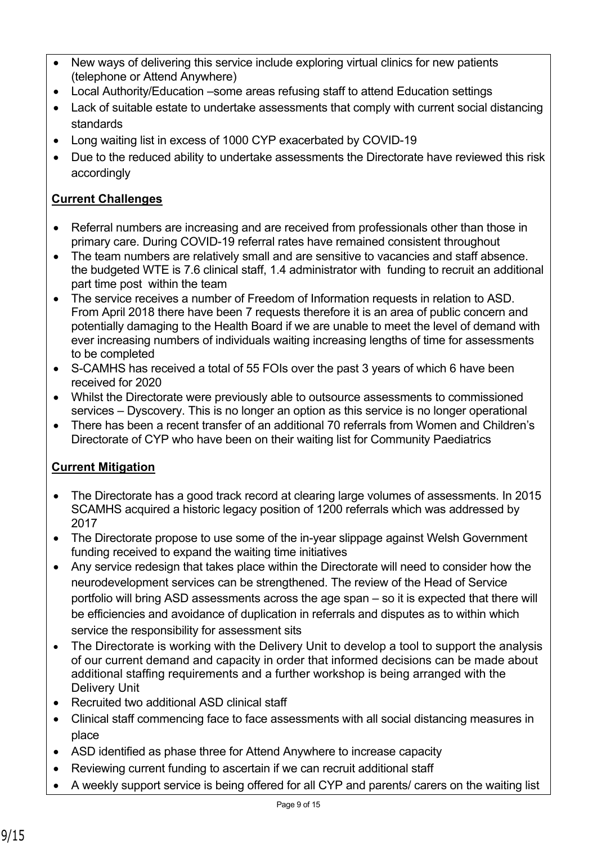- New ways of delivering this service include exploring virtual clinics for new patients (telephone or Attend Anywhere)
- Local Authority/Education –some areas refusing staff to attend Education settings
- Lack of suitable estate to undertake assessments that comply with current social distancing standards
- Long waiting list in excess of 1000 CYP exacerbated by COVID-19
- Due to the reduced ability to undertake assessments the Directorate have reviewed this risk accordingly

## **Current Challenges**

- Referral numbers are increasing and are received from professionals other than those in primary care. During COVID-19 referral rates have remained consistent throughout
- The team numbers are relatively small and are sensitive to vacancies and staff absence. the budgeted WTE is 7.6 clinical staff, 1.4 administrator with funding to recruit an additional part time post within the team
- The service receives a number of Freedom of Information requests in relation to ASD. From April 2018 there have been 7 requests therefore it is an area of public concern and potentially damaging to the Health Board if we are unable to meet the level of demand with ever increasing numbers of individuals waiting increasing lengths of time for assessments to be completed
- S-CAMHS has received a total of 55 FOIs over the past 3 years of which 6 have been received for 2020
- Whilst the Directorate were previously able to outsource assessments to commissioned services – Dyscovery. This is no longer an option as this service is no longer operational
- There has been a recent transfer of an additional 70 referrals from Women and Children's Directorate of CYP who have been on their waiting list for Community Paediatrics

## **Current Mitigation**

- The Directorate has a good track record at clearing large volumes of assessments. In 2015 SCAMHS acquired a historic legacy position of 1200 referrals which was addressed by 2017
- The Directorate propose to use some of the in-year slippage against Welsh Government funding received to expand the waiting time initiatives
- Any service redesign that takes place within the Directorate will need to consider how the neurodevelopment services can be strengthened. The review of the Head of Service portfolio will bring ASD assessments across the age span – so it is expected that there will be efficiencies and avoidance of duplication in referrals and disputes as to within which service the responsibility for assessment sits
- The Directorate is working with the Delivery Unit to develop a tool to support the analysis of our current demand and capacity in order that informed decisions can be made about additional staffing requirements and a further workshop is being arranged with the Delivery Unit
- Recruited two additional ASD clinical staff
- Clinical staff commencing face to face assessments with all social distancing measures in place
- ASD identified as phase three for Attend Anywhere to increase capacity
- Reviewing current funding to ascertain if we can recruit additional staff
- A weekly support service is being offered for all CYP and parents/ carers on the waiting list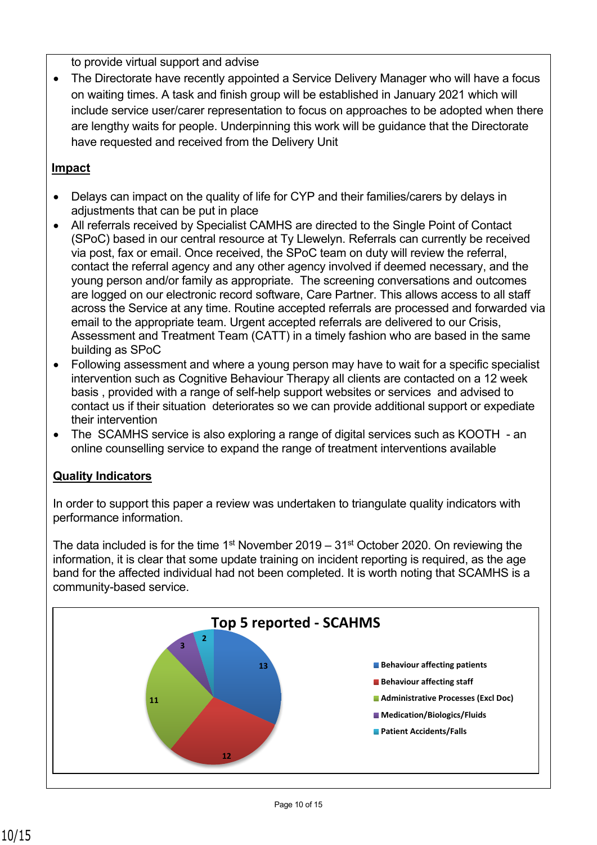to provide virtual support and advise

 The Directorate have recently appointed a Service Delivery Manager who will have a focus on waiting times. A task and finish group will be established in January 2021 which will include service user/carer representation to focus on approaches to be adopted when there are lengthy waits for people. Underpinning this work will be guidance that the Directorate have requested and received from the Delivery Unit

### **Impact**

- Delays can impact on the quality of life for CYP and their families/carers by delays in adjustments that can be put in place
- All referrals received by Specialist CAMHS are directed to the Single Point of Contact (SPoC) based in our central resource at Ty Llewelyn. Referrals can currently be received via post, fax or email. Once received, the SPoC team on duty will review the referral, contact the referral agency and any other agency involved if deemed necessary, and the young person and/or family as appropriate. The screening conversations and outcomes are logged on our electronic record software, Care Partner. This allows access to all staff across the Service at any time. Routine accepted referrals are processed and forwarded via email to the appropriate team. Urgent accepted referrals are delivered to our Crisis, Assessment and Treatment Team (CATT) in a timely fashion who are based in the same building as SPoC
- Following assessment and where a young person may have to wait for a specific specialist intervention such as Cognitive Behaviour Therapy all clients are contacted on a 12 week basis , provided with a range of self-help support websites or services and advised to contact us if their situation deteriorates so we can provide additional support or expediate their intervention
- The SCAMHS service is also exploring a range of digital services such as KOOTH an online counselling service to expand the range of treatment interventions available

#### **Quality Indicators**

In order to support this paper a review was undertaken to triangulate quality indicators with performance information.

The data included is for the time 1<sup>st</sup> November 2019 – 31<sup>st</sup> October 2020. On reviewing the information, it is clear that some update training on incident reporting is required, as the age band for the affected individual had not been completed. It is worth noting that SCAMHS is a community-based service.

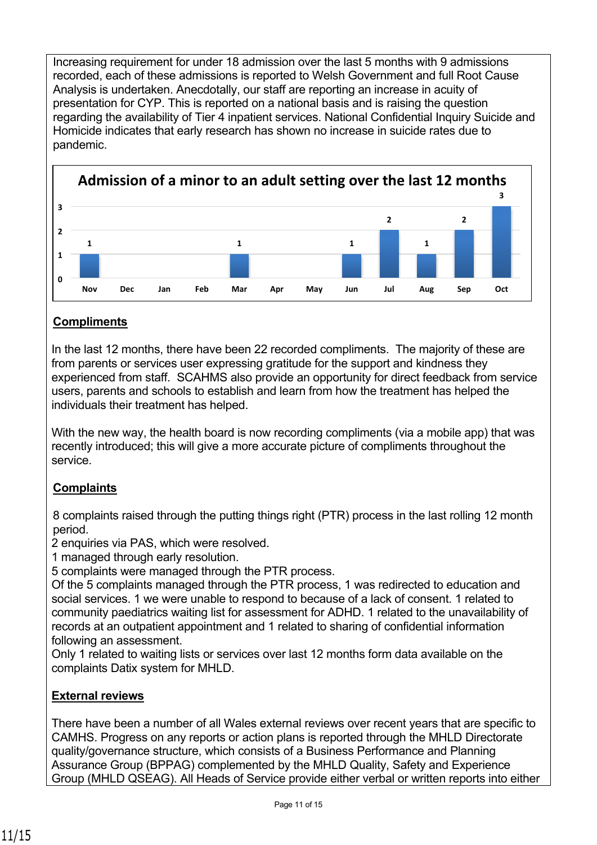Increasing requirement for under 18 admission over the last 5 months with 9 admissions recorded, each of these admissions is reported to Welsh Government and full Root Cause Analysis is undertaken. Anecdotally, our staff are reporting an increase in acuity of presentation for CYP. This is reported on a national basis and is raising the question regarding the availability of Tier 4 inpatient services. National Confidential Inquiry Suicide and Homicide indicates that early research has shown no increase in suicide rates due to pandemic.



## **Compliments**

In the last 12 months, there have been 22 recorded compliments. The majority of these are from parents or services user expressing gratitude for the support and kindness they experienced from staff. SCAHMS also provide an opportunity for direct feedback from service users, parents and schools to establish and learn from how the treatment has helped the individuals their treatment has helped.

With the new way, the health board is now recording compliments (via a mobile app) that was recently introduced; this will give a more accurate picture of compliments throughout the service.

### **Complaints**

8 complaints raised through the putting things right (PTR) process in the last rolling 12 month period.

2 enquiries via PAS, which were resolved.

1 managed through early resolution.

5 complaints were managed through the PTR process.

Of the 5 complaints managed through the PTR process, 1 was redirected to education and social services. 1 we were unable to respond to because of a lack of consent. 1 related to community paediatrics waiting list for assessment for ADHD. 1 related to the unavailability of records at an outpatient appointment and 1 related to sharing of confidential information following an assessment.

Only 1 related to waiting lists or services over last 12 months form data available on the complaints Datix system for MHLD.

### **External reviews**

There have been a number of all Wales external reviews over recent years that are specific to CAMHS. Progress on any reports or action plans is reported through the MHLD Directorate quality/governance structure, which consists of a Business Performance and Planning Assurance Group (BPPAG) complemented by the MHLD Quality, Safety and Experience Group (MHLD QSEAG). All Heads of Service provide either verbal or written reports into either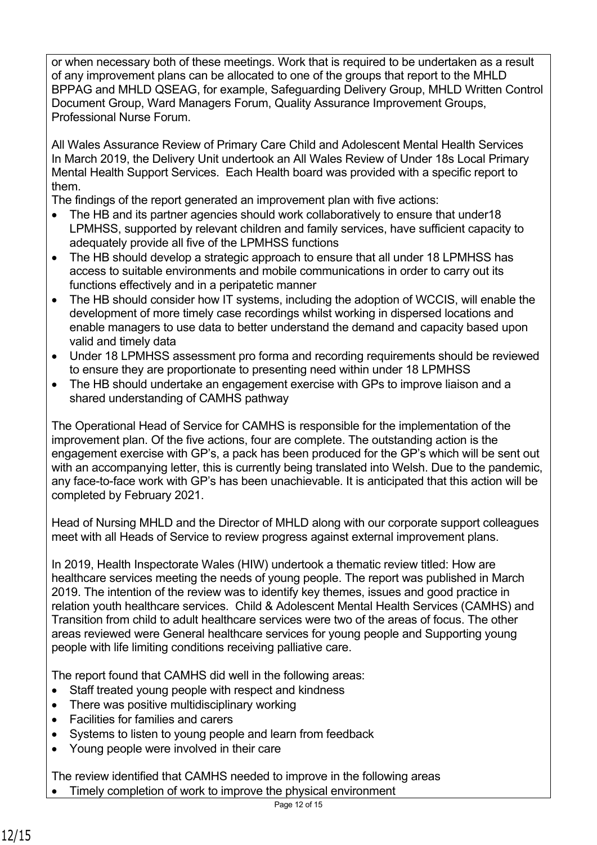or when necessary both of these meetings. Work that is required to be undertaken as a result of any improvement plans can be allocated to one of the groups that report to the MHLD BPPAG and MHLD QSEAG, for example, Safeguarding Delivery Group, MHLD Written Control Document Group, Ward Managers Forum, Quality Assurance Improvement Groups, Professional Nurse Forum.

All Wales Assurance Review of Primary Care Child and Adolescent Mental Health Services In March 2019, the Delivery Unit undertook an All Wales Review of Under 18s Local Primary Mental Health Support Services. Each Health board was provided with a specific report to them.

The findings of the report generated an improvement plan with five actions:

- The HB and its partner agencies should work collaboratively to ensure that under18 LPMHSS, supported by relevant children and family services, have sufficient capacity to adequately provide all five of the LPMHSS functions
- The HB should develop a strategic approach to ensure that all under 18 LPMHSS has access to suitable environments and mobile communications in order to carry out its functions effectively and in a peripatetic manner
- The HB should consider how IT systems, including the adoption of WCCIS, will enable the development of more timely case recordings whilst working in dispersed locations and enable managers to use data to better understand the demand and capacity based upon valid and timely data
- Under 18 LPMHSS assessment pro forma and recording requirements should be reviewed to ensure they are proportionate to presenting need within under 18 LPMHSS
- The HB should undertake an engagement exercise with GPs to improve liaison and a shared understanding of CAMHS pathway

The Operational Head of Service for CAMHS is responsible for the implementation of the improvement plan. Of the five actions, four are complete. The outstanding action is the engagement exercise with GP's, a pack has been produced for the GP's which will be sent out with an accompanying letter, this is currently being translated into Welsh. Due to the pandemic, any face-to-face work with GP's has been unachievable. It is anticipated that this action will be completed by February 2021.

Head of Nursing MHLD and the Director of MHLD along with our corporate support colleagues meet with all Heads of Service to review progress against external improvement plans.

In 2019, Health Inspectorate Wales (HIW) undertook a thematic review titled: How are healthcare services meeting the needs of young people. The report was published in March 2019. The intention of the review was to identify key themes, issues and good practice in relation youth healthcare services. Child & Adolescent Mental Health Services (CAMHS) and Transition from child to adult healthcare services were two of the areas of focus. The other areas reviewed were General healthcare services for young people and Supporting young people with life limiting conditions receiving palliative care.

The report found that CAMHS did well in the following areas:

- Staff treated young people with respect and kindness
- There was positive multidisciplinary working
- Facilities for families and carers
- Systems to listen to young people and learn from feedback
- Young people were involved in their care

The review identified that CAMHS needed to improve in the following areas

Timely completion of work to improve the physical environment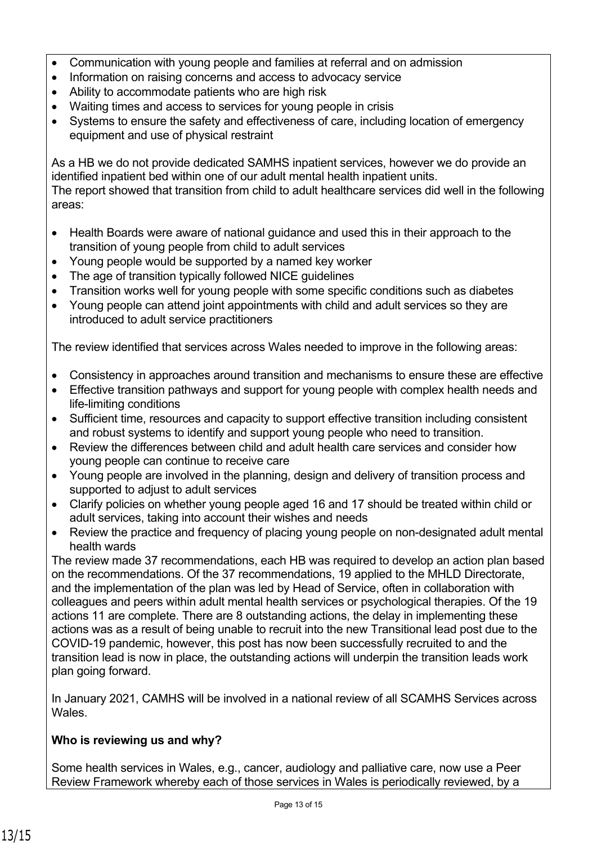- Communication with young people and families at referral and on admission
- Information on raising concerns and access to advocacy service
- Ability to accommodate patients who are high risk
- Waiting times and access to services for young people in crisis
- Systems to ensure the safety and effectiveness of care, including location of emergency equipment and use of physical restraint

As a HB we do not provide dedicated SAMHS inpatient services, however we do provide an identified inpatient bed within one of our adult mental health inpatient units. The report showed that transition from child to adult healthcare services did well in the following

areas:

- Health Boards were aware of national guidance and used this in their approach to the transition of young people from child to adult services
- Young people would be supported by a named key worker
- The age of transition typically followed NICE quidelines
- Transition works well for young people with some specific conditions such as diabetes
- Young people can attend joint appointments with child and adult services so they are introduced to adult service practitioners

The review identified that services across Wales needed to improve in the following areas:

- Consistency in approaches around transition and mechanisms to ensure these are effective
- Effective transition pathways and support for young people with complex health needs and life-limiting conditions
- Sufficient time, resources and capacity to support effective transition including consistent and robust systems to identify and support young people who need to transition.
- Review the differences between child and adult health care services and consider how young people can continue to receive care
- Young people are involved in the planning, design and delivery of transition process and supported to adjust to adult services
- Clarify policies on whether young people aged 16 and 17 should be treated within child or adult services, taking into account their wishes and needs
- Review the practice and frequency of placing young people on non-designated adult mental health wards

The review made 37 recommendations, each HB was required to develop an action plan based on the recommendations. Of the 37 recommendations, 19 applied to the MHLD Directorate, and the implementation of the plan was led by Head of Service, often in collaboration with colleagues and peers within adult mental health services or psychological therapies. Of the 19 actions 11 are complete. There are 8 outstanding actions, the delay in implementing these actions was as a result of being unable to recruit into the new Transitional lead post due to the COVID-19 pandemic, however, this post has now been successfully recruited to and the transition lead is now in place, the outstanding actions will underpin the transition leads work plan going forward.

In January 2021, CAMHS will be involved in a national review of all SCAMHS Services across Wales.

### **Who is reviewing us and why?**

Some health services in Wales, e.g., cancer, audiology and palliative care, now use a Peer Review Framework whereby each of those services in Wales is periodically reviewed, by a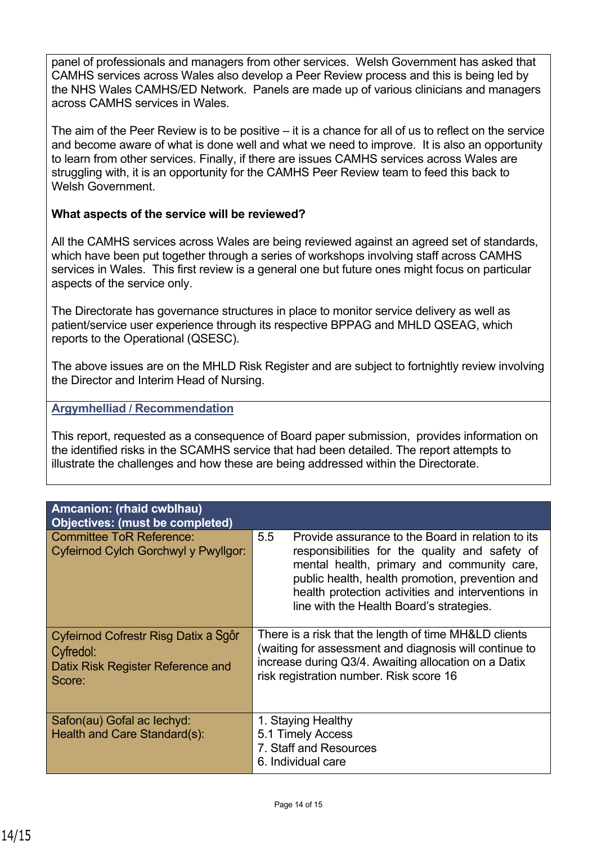panel of professionals and managers from other services. Welsh Government has asked that CAMHS services across Wales also develop a Peer Review process and this is being led by the NHS Wales CAMHS/ED Network. Panels are made up of various clinicians and managers across CAMHS services in Wales.

The aim of the Peer Review is to be positive – it is a chance for all of us to reflect on the service and become aware of what is done well and what we need to improve. It is also an opportunity to learn from other services. Finally, if there are issues CAMHS services across Wales are struggling with, it is an opportunity for the CAMHS Peer Review team to feed this back to Welsh Government

#### **What aspects of the service will be reviewed?**

All the CAMHS services across Wales are being reviewed against an agreed set of standards, which have been put together through a series of workshops involving staff across CAMHS services in Wales. This first review is a general one but future ones might focus on particular aspects of the service only.

The Directorate has governance structures in place to monitor service delivery as well as patient/service user experience through its respective BPPAG and MHLD QSEAG, which reports to the Operational (QSESC).

The above issues are on the MHLD Risk Register and are subject to fortnightly review involving the Director and Interim Head of Nursing.

#### **Argymhelliad / Recommendation**

This report, requested as a consequence of Board paper submission, provides information on the identified risks in the SCAMHS service that had been detailed. The report attempts to illustrate the challenges and how these are being addressed within the Directorate.

| <b>Amcanion: (rhaid cwblhau)</b><br>Objectives: (must be completed)                              |                                                                                                                                                                                                                                                                                                              |  |
|--------------------------------------------------------------------------------------------------|--------------------------------------------------------------------------------------------------------------------------------------------------------------------------------------------------------------------------------------------------------------------------------------------------------------|--|
| <b>Committee ToR Reference:</b><br>Cyfeirnod Cylch Gorchwyl y Pwyllgor:                          | 5.5<br>Provide assurance to the Board in relation to its<br>responsibilities for the quality and safety of<br>mental health, primary and community care,<br>public health, health promotion, prevention and<br>health protection activities and interventions in<br>line with the Health Board's strategies. |  |
| Cyfeirnod Cofrestr Risg Datix a Sgôr<br>Cyfredol:<br>Datix Risk Register Reference and<br>Score: | There is a risk that the length of time MH&LD clients<br>(waiting for assessment and diagnosis will continue to<br>increase during Q3/4. Awaiting allocation on a Datix<br>risk registration number. Risk score 16                                                                                           |  |
| Safon(au) Gofal ac lechyd:<br>Health and Care Standard(s):                                       | 1. Staying Healthy<br>5.1 Timely Access<br>7. Staff and Resources<br>6. Individual care                                                                                                                                                                                                                      |  |